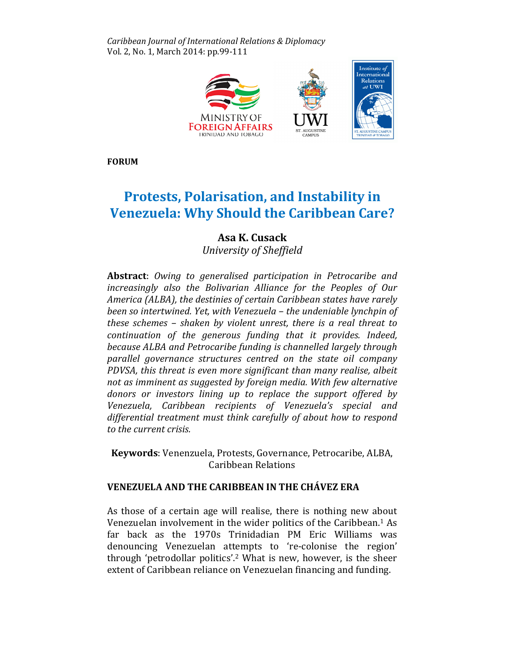Caribbean Journal of International Relations & Diplomacy Vol. 2, No. 1, March 2014: pp.99-111



FORUM

# Protests, Polarisation, and Instability in Venezuela: Why Should the Caribbean Care?

## Asa K. Cusack

University of Sheffield

Abstract: Owing to generalised participation in Petrocaribe and increasingly also the Bolivarian Alliance for the Peoples of Our America (ALBA), the destinies of certain Caribbean states have rarely been so intertwined. Yet, with Venezuela – the undeniable lynchpin of these schemes – shaken by violent unrest, there is a real threat to continuation of the generous funding that it provides. Indeed, because ALBA and Petrocaribe funding is channelled largely through parallel governance structures centred on the state oil company PDVSA, this threat is even more significant than many realise, albeit not as imminent as suggested by foreign media. With few alternative donors or investors lining up to replace the support offered by Venezuela, Caribbean recipients of Venezuela's special and differential treatment must think carefully of about how to respond to the current crisis.

Keywords: Venenzuela, Protests, Governance, Petrocaribe, ALBA, Caribbean Relations

## VENEZUELA AND THE CARIBBEAN IN THE CHÁVEZ ERA

As those of a certain age will realise, there is nothing new about Venezuelan involvement in the wider politics of the Caribbean.1 As far back as the 1970s Trinidadian PM Eric Williams was denouncing Venezuelan attempts to 're-colonise the region' through 'petrodollar politics'.2 What is new, however, is the sheer extent of Caribbean reliance on Venezuelan financing and funding.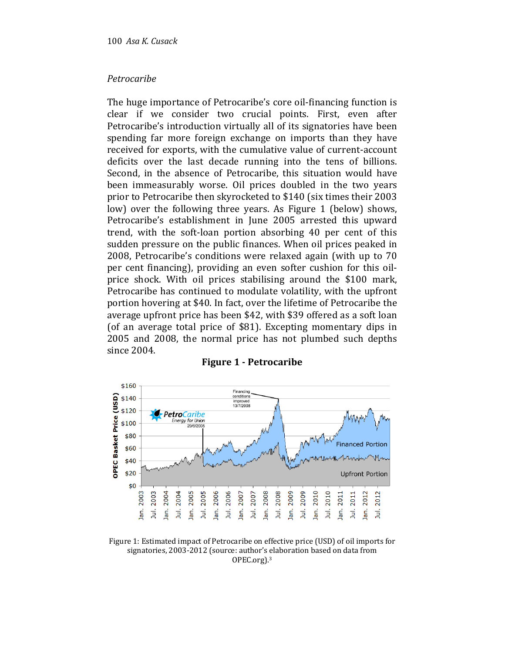#### Petrocaribe

The huge importance of Petrocaribe's core oil-financing function is clear if we consider two crucial points. First, even after Petrocaribe's introduction virtually all of its signatories have been spending far more foreign exchange on imports than they have received for exports, with the cumulative value of current-account deficits over the last decade running into the tens of billions. Second, in the absence of Petrocaribe, this situation would have been immeasurably worse. Oil prices doubled in the two years prior to Petrocaribe then skyrocketed to \$140 (six times their 2003 low) over the following three years. As Figure 1 (below) shows, Petrocaribe's establishment in June 2005 arrested this upward trend, with the soft-loan portion absorbing 40 per cent of this sudden pressure on the public finances. When oil prices peaked in 2008, Petrocaribe's conditions were relaxed again (with up to 70 per cent financing), providing an even softer cushion for this oilprice shock. With oil prices stabilising around the \$100 mark, Petrocaribe has continued to modulate volatility, with the upfront portion hovering at \$40. In fact, over the lifetime of Petrocaribe the average upfront price has been \$42, with \$39 offered as a soft loan (of an average total price of \$81). Excepting momentary dips in 2005 and 2008, the normal price has not plumbed such depths since 2004.



#### Figure 1 - Petrocaribe

Figure 1: Estimated impact of Petrocaribe on effective price (USD) of oil imports for signatories, 2003-2012 (source: author's elaboration based on data from OPEC.org).3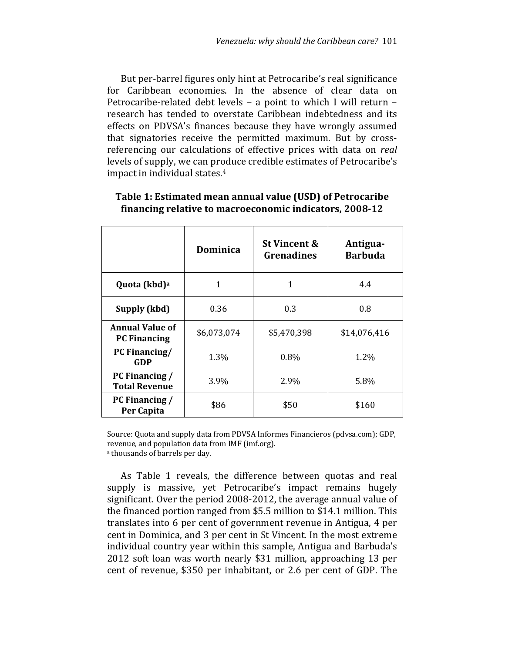But per-barrel figures only hint at Petrocaribe's real significance for Caribbean economies. In the absence of clear data on Petrocaribe-related debt levels – a point to which I will return – research has tended to overstate Caribbean indebtedness and its effects on PDVSA's finances because they have wrongly assumed that signatories receive the permitted maximum. But by crossreferencing our calculations of effective prices with data on real levels of supply, we can produce credible estimates of Petrocaribe's impact in individual states.<sup>4</sup>

|                                               | Dominica    | <b>St Vincent &amp;</b><br><b>Grenadines</b> | Antigua-<br><b>Barbuda</b> |
|-----------------------------------------------|-------------|----------------------------------------------|----------------------------|
| Quota (kbd) <sup>a</sup>                      | 1           | 1                                            | 4.4                        |
| Supply (kbd)                                  | 0.36        | 0.3                                          | 0.8                        |
| <b>Annual Value of</b><br><b>PC Financing</b> | \$6,073,074 | \$5,470,398                                  | \$14,076,416               |
| PC Financing/<br>GDP                          | 1.3%        | 0.8%                                         | 1.2%                       |
| PC Financing /<br><b>Total Revenue</b>        | 3.9%        | 2.9%                                         | 5.8%                       |
| PC Financing /<br>Per Capita                  | \$86        | \$50                                         | \$160                      |

#### Table 1: Estimated mean annual value (USD) of Petrocaribe financing relative to macroeconomic indicators, 2008-12

Source: Quota and supply data from PDVSA Informes Financieros (pdvsa.com); GDP, revenue, and population data from IMF (imf.org).

a thousands of barrels per day.

As Table 1 reveals, the difference between quotas and real supply is massive, yet Petrocaribe's impact remains hugely significant. Over the period 2008-2012, the average annual value of the financed portion ranged from \$5.5 million to \$14.1 million. This translates into 6 per cent of government revenue in Antigua, 4 per cent in Dominica, and 3 per cent in St Vincent. In the most extreme individual country year within this sample, Antigua and Barbuda's 2012 soft loan was worth nearly \$31 million, approaching 13 per cent of revenue, \$350 per inhabitant, or 2.6 per cent of GDP. The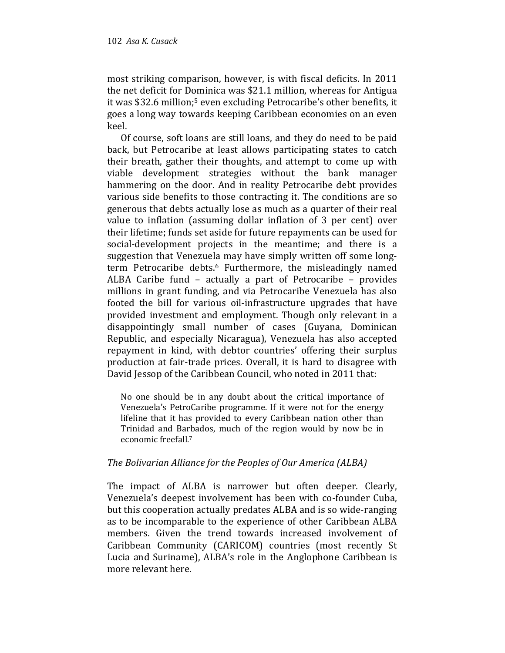most striking comparison, however, is with fiscal deficits. In 2011 the net deficit for Dominica was \$21.1 million, whereas for Antigua it was \$32.6 million;5 even excluding Petrocaribe's other benefits, it goes a long way towards keeping Caribbean economies on an even keel.

Of course, soft loans are still loans, and they do need to be paid back, but Petrocaribe at least allows participating states to catch their breath, gather their thoughts, and attempt to come up with viable development strategies without the bank manager hammering on the door. And in reality Petrocaribe debt provides various side benefits to those contracting it. The conditions are so generous that debts actually lose as much as a quarter of their real value to inflation (assuming dollar inflation of 3 per cent) over their lifetime; funds set aside for future repayments can be used for social-development projects in the meantime; and there is a suggestion that Venezuela may have simply written off some longterm Petrocaribe debts.<sup>6</sup> Furthermore, the misleadingly named ALBA Caribe fund – actually a part of Petrocaribe – provides millions in grant funding, and via Petrocaribe Venezuela has also footed the bill for various oil-infrastructure upgrades that have provided investment and employment. Though only relevant in a disappointingly small number of cases (Guyana, Dominican Republic, and especially Nicaragua), Venezuela has also accepted repayment in kind, with debtor countries' offering their surplus production at fair-trade prices. Overall, it is hard to disagree with David Jessop of the Caribbean Council, who noted in 2011 that:

No one should be in any doubt about the critical importance of Venezuela's PetroCaribe programme. If it were not for the energy lifeline that it has provided to every Caribbean nation other than Trinidad and Barbados, much of the region would by now be in economic freefall.<sup>7</sup>

#### The Bolivarian Alliance for the Peoples of Our America (ALBA)

The impact of ALBA is narrower but often deeper. Clearly, Venezuela's deepest involvement has been with co-founder Cuba, but this cooperation actually predates ALBA and is so wide-ranging as to be incomparable to the experience of other Caribbean ALBA members. Given the trend towards increased involvement of Caribbean Community (CARICOM) countries (most recently St Lucia and Suriname), ALBA's role in the Anglophone Caribbean is more relevant here.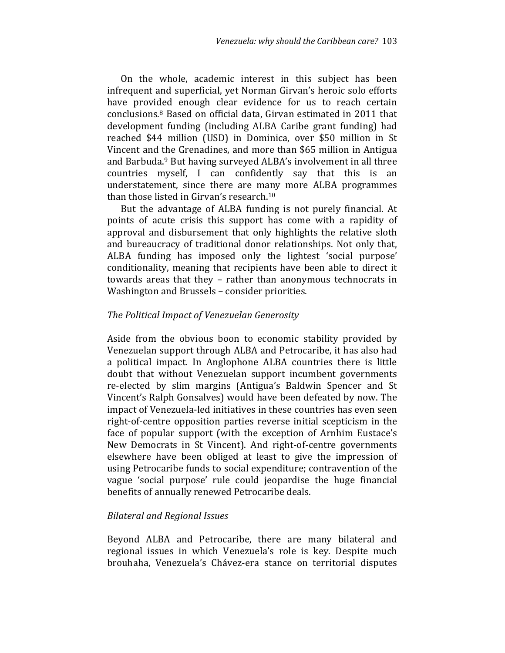On the whole, academic interest in this subject has been infrequent and superficial, yet Norman Girvan's heroic solo efforts have provided enough clear evidence for us to reach certain conclusions.8 Based on official data, Girvan estimated in 2011 that development funding (including ALBA Caribe grant funding) had reached \$44 million (USD) in Dominica, over \$50 million in St Vincent and the Grenadines, and more than \$65 million in Antigua and Barbuda.9 But having surveyed ALBA's involvement in all three countries myself, I can confidently say that this is an understatement, since there are many more ALBA programmes than those listed in Girvan's research.<sup>10</sup>

But the advantage of ALBA funding is not purely financial. At points of acute crisis this support has come with a rapidity of approval and disbursement that only highlights the relative sloth and bureaucracy of traditional donor relationships. Not only that, ALBA funding has imposed only the lightest 'social purpose' conditionality, meaning that recipients have been able to direct it towards areas that they – rather than anonymous technocrats in Washington and Brussels – consider priorities.

#### The Political Impact of Venezuelan Generosity

Aside from the obvious boon to economic stability provided by Venezuelan support through ALBA and Petrocaribe, it has also had a political impact. In Anglophone ALBA countries there is little doubt that without Venezuelan support incumbent governments re-elected by slim margins (Antigua's Baldwin Spencer and St Vincent's Ralph Gonsalves) would have been defeated by now. The impact of Venezuela-led initiatives in these countries has even seen right-of-centre opposition parties reverse initial scepticism in the face of popular support (with the exception of Arnhim Eustace's New Democrats in St Vincent). And right-of-centre governments elsewhere have been obliged at least to give the impression of using Petrocaribe funds to social expenditure; contravention of the vague 'social purpose' rule could jeopardise the huge financial benefits of annually renewed Petrocaribe deals.

#### Bilateral and Regional Issues

Beyond ALBA and Petrocaribe, there are many bilateral and regional issues in which Venezuela's role is key. Despite much brouhaha, Venezuela's Chávez-era stance on territorial disputes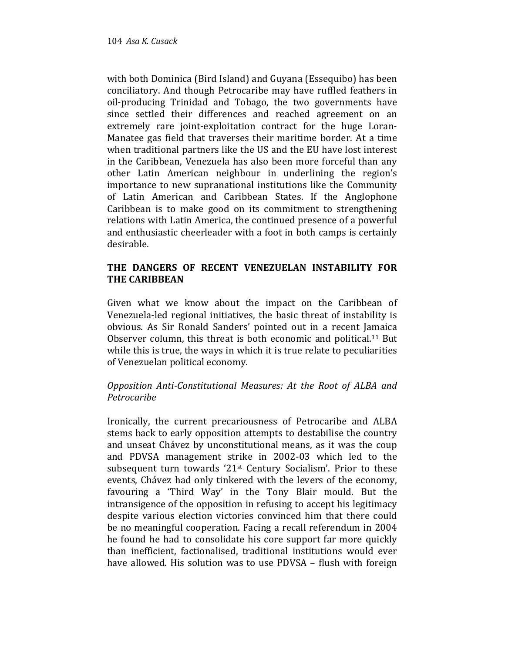with both Dominica (Bird Island) and Guyana (Essequibo) has been conciliatory. And though Petrocaribe may have ruffled feathers in oil-producing Trinidad and Tobago, the two governments have since settled their differences and reached agreement on an extremely rare joint-exploitation contract for the huge Loran-Manatee gas field that traverses their maritime border. At a time when traditional partners like the US and the EU have lost interest in the Caribbean, Venezuela has also been more forceful than any other Latin American neighbour in underlining the region's importance to new supranational institutions like the Community of Latin American and Caribbean States. If the Anglophone Caribbean is to make good on its commitment to strengthening relations with Latin America, the continued presence of a powerful and enthusiastic cheerleader with a foot in both camps is certainly desirable.

## THE DANGERS OF RECENT VENEZUELAN INSTABILITY FOR THE CARIBBEAN

Given what we know about the impact on the Caribbean of Venezuela-led regional initiatives, the basic threat of instability is obvious. As Sir Ronald Sanders' pointed out in a recent Jamaica Observer column, this threat is both economic and political.11 But while this is true, the ways in which it is true relate to peculiarities of Venezuelan political economy.

## Opposition Anti-Constitutional Measures: At the Root of ALBA and Petrocaribe

Ironically, the current precariousness of Petrocaribe and ALBA stems back to early opposition attempts to destabilise the country and unseat Chávez by unconstitutional means, as it was the coup and PDVSA management strike in 2002-03 which led to the subsequent turn towards '21st Century Socialism'. Prior to these events, Chávez had only tinkered with the levers of the economy, favouring a 'Third Way' in the Tony Blair mould. But the intransigence of the opposition in refusing to accept his legitimacy despite various election victories convinced him that there could be no meaningful cooperation. Facing a recall referendum in 2004 he found he had to consolidate his core support far more quickly than inefficient, factionalised, traditional institutions would ever have allowed. His solution was to use PDVSA – flush with foreign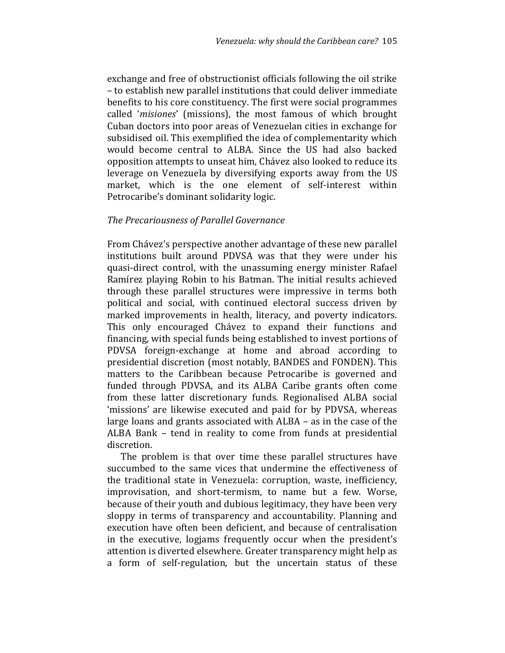exchange and free of obstructionist officials following the oil strike – to establish new parallel institutions that could deliver immediate benefits to his core constituency. The first were social programmes called 'misiones' (missions), the most famous of which brought Cuban doctors into poor areas of Venezuelan cities in exchange for subsidised oil. This exemplified the idea of complementarity which would become central to ALBA. Since the US had also backed opposition attempts to unseat him, Chávez also looked to reduce its leverage on Venezuela by diversifying exports away from the US market, which is the one element of self-interest within Petrocaribe's dominant solidarity logic.

#### The Precariousness of Parallel Governance

From Chávez's perspective another advantage of these new parallel institutions built around PDVSA was that they were under his quasi-direct control, with the unassuming energy minister Rafael Ramírez playing Robin to his Batman. The initial results achieved through these parallel structures were impressive in terms both political and social, with continued electoral success driven by marked improvements in health, literacy, and poverty indicators. This only encouraged Chávez to expand their functions and financing, with special funds being established to invest portions of PDVSA foreign-exchange at home and abroad according to presidential discretion (most notably, BANDES and FONDEN). This matters to the Caribbean because Petrocaribe is governed and funded through PDVSA, and its ALBA Caribe grants often come from these latter discretionary funds. Regionalised ALBA social 'missions' are likewise executed and paid for by PDVSA, whereas large loans and grants associated with ALBA – as in the case of the ALBA Bank – tend in reality to come from funds at presidential discretion.

The problem is that over time these parallel structures have succumbed to the same vices that undermine the effectiveness of the traditional state in Venezuela: corruption, waste, inefficiency, improvisation, and short-termism, to name but a few. Worse, because of their youth and dubious legitimacy, they have been very sloppy in terms of transparency and accountability. Planning and execution have often been deficient, and because of centralisation in the executive, logjams frequently occur when the president's attention is diverted elsewhere. Greater transparency might help as a form of self-regulation, but the uncertain status of these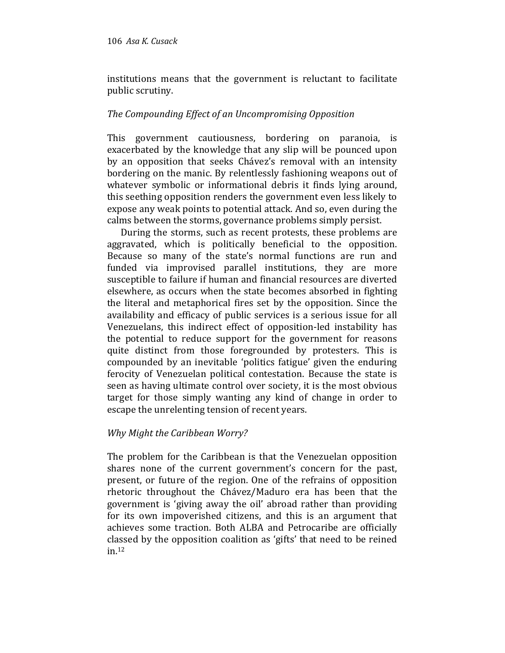institutions means that the government is reluctant to facilitate public scrutiny.

## The Compounding Effect of an Uncompromising Opposition

This government cautiousness, bordering on paranoia, is exacerbated by the knowledge that any slip will be pounced upon by an opposition that seeks Chávez's removal with an intensity bordering on the manic. By relentlessly fashioning weapons out of whatever symbolic or informational debris it finds lying around, this seething opposition renders the government even less likely to expose any weak points to potential attack. And so, even during the calms between the storms, governance problems simply persist.

During the storms, such as recent protests, these problems are aggravated, which is politically beneficial to the opposition. Because so many of the state's normal functions are run and funded via improvised parallel institutions, they are more susceptible to failure if human and financial resources are diverted elsewhere, as occurs when the state becomes absorbed in fighting the literal and metaphorical fires set by the opposition. Since the availability and efficacy of public services is a serious issue for all Venezuelans, this indirect effect of opposition-led instability has the potential to reduce support for the government for reasons quite distinct from those foregrounded by protesters. This is compounded by an inevitable 'politics fatigue' given the enduring ferocity of Venezuelan political contestation. Because the state is seen as having ultimate control over society, it is the most obvious target for those simply wanting any kind of change in order to escape the unrelenting tension of recent years.

## Why Might the Caribbean Worry?

The problem for the Caribbean is that the Venezuelan opposition shares none of the current government's concern for the past, present, or future of the region. One of the refrains of opposition rhetoric throughout the Chávez/Maduro era has been that the government is 'giving away the oil' abroad rather than providing for its own impoverished citizens, and this is an argument that achieves some traction. Both ALBA and Petrocaribe are officially classed by the opposition coalition as 'gifts' that need to be reined in.12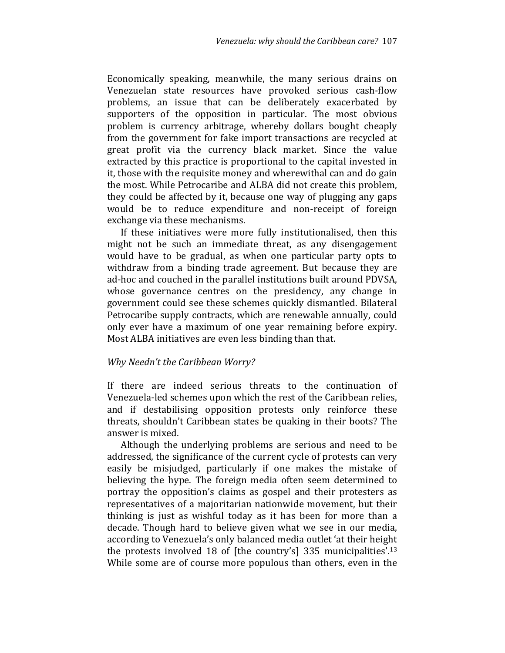Economically speaking, meanwhile, the many serious drains on Venezuelan state resources have provoked serious cash-flow problems, an issue that can be deliberately exacerbated by supporters of the opposition in particular. The most obvious problem is currency arbitrage, whereby dollars bought cheaply from the government for fake import transactions are recycled at great profit via the currency black market. Since the value extracted by this practice is proportional to the capital invested in it, those with the requisite money and wherewithal can and do gain the most. While Petrocaribe and ALBA did not create this problem, they could be affected by it, because one way of plugging any gaps would be to reduce expenditure and non-receipt of foreign exchange via these mechanisms.

If these initiatives were more fully institutionalised, then this might not be such an immediate threat, as any disengagement would have to be gradual, as when one particular party opts to withdraw from a binding trade agreement. But because they are ad-hoc and couched in the parallel institutions built around PDVSA, whose governance centres on the presidency, any change in government could see these schemes quickly dismantled. Bilateral Petrocaribe supply contracts, which are renewable annually, could only ever have a maximum of one year remaining before expiry. Most ALBA initiatives are even less binding than that.

#### Why Needn't the Caribbean Worry?

If there are indeed serious threats to the continuation of Venezuela-led schemes upon which the rest of the Caribbean relies, and if destabilising opposition protests only reinforce these threats, shouldn't Caribbean states be quaking in their boots? The answer is mixed.

Although the underlying problems are serious and need to be addressed, the significance of the current cycle of protests can very easily be misjudged, particularly if one makes the mistake of believing the hype. The foreign media often seem determined to portray the opposition's claims as gospel and their protesters as representatives of a majoritarian nationwide movement, but their thinking is just as wishful today as it has been for more than a decade. Though hard to believe given what we see in our media, according to Venezuela's only balanced media outlet 'at their height the protests involved 18 of [the country's] 335 municipalities'.<sup>13</sup> While some are of course more populous than others, even in the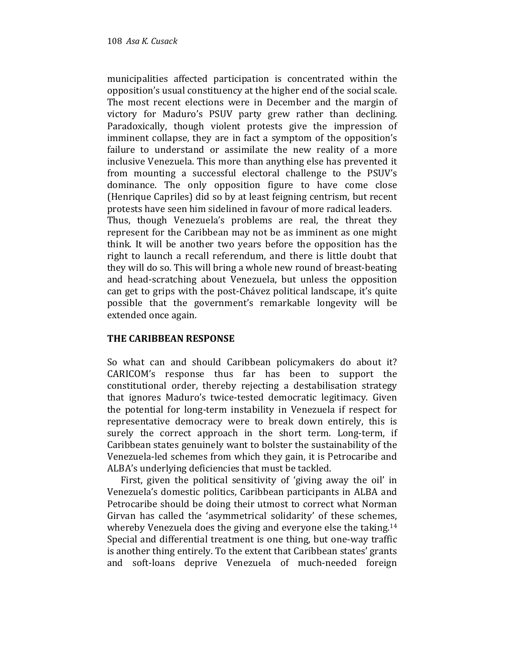municipalities affected participation is concentrated within the opposition's usual constituency at the higher end of the social scale. The most recent elections were in December and the margin of victory for Maduro's PSUV party grew rather than declining. Paradoxically, though violent protests give the impression of imminent collapse, they are in fact a symptom of the opposition's failure to understand or assimilate the new reality of a more inclusive Venezuela. This more than anything else has prevented it from mounting a successful electoral challenge to the PSUV's dominance. The only opposition figure to have come close (Henrique Capriles) did so by at least feigning centrism, but recent protests have seen him sidelined in favour of more radical leaders. Thus, though Venezuela's problems are real, the threat they represent for the Caribbean may not be as imminent as one might think. It will be another two years before the opposition has the right to launch a recall referendum, and there is little doubt that they will do so. This will bring a whole new round of breast-beating and head-scratching about Venezuela, but unless the opposition can get to grips with the post-Chávez political landscape, it's quite possible that the government's remarkable longevity will be extended once again.

## THE CARIBBEAN RESPONSE

So what can and should Caribbean policymakers do about it? CARICOM's response thus far has been to support the constitutional order, thereby rejecting a destabilisation strategy that ignores Maduro's twice-tested democratic legitimacy. Given the potential for long-term instability in Venezuela if respect for representative democracy were to break down entirely, this is surely the correct approach in the short term. Long-term, if Caribbean states genuinely want to bolster the sustainability of the Venezuela-led schemes from which they gain, it is Petrocaribe and ALBA's underlying deficiencies that must be tackled.

First, given the political sensitivity of 'giving away the oil' in Venezuela's domestic politics, Caribbean participants in ALBA and Petrocaribe should be doing their utmost to correct what Norman Girvan has called the 'asymmetrical solidarity' of these schemes, whereby Venezuela does the giving and everyone else the taking.<sup>14</sup> Special and differential treatment is one thing, but one-way traffic is another thing entirely. To the extent that Caribbean states' grants and soft-loans deprive Venezuela of much-needed foreign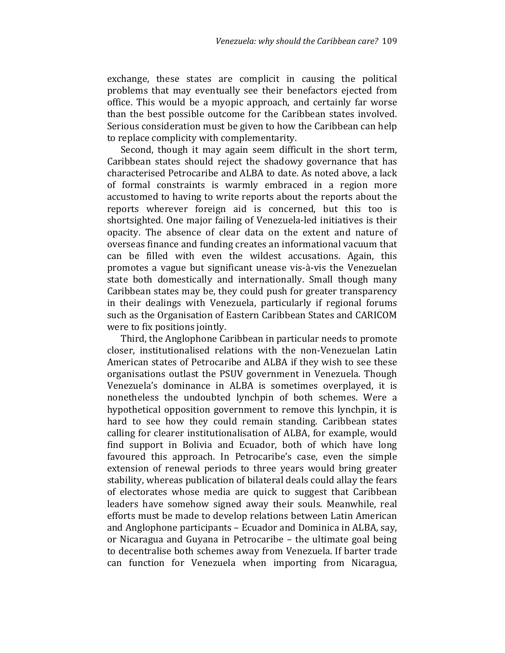exchange, these states are complicit in causing the political problems that may eventually see their benefactors ejected from office. This would be a myopic approach, and certainly far worse than the best possible outcome for the Caribbean states involved. Serious consideration must be given to how the Caribbean can help to replace complicity with complementarity.

Second, though it may again seem difficult in the short term, Caribbean states should reject the shadowy governance that has characterised Petrocaribe and ALBA to date. As noted above, a lack of formal constraints is warmly embraced in a region more accustomed to having to write reports about the reports about the reports wherever foreign aid is concerned, but this too is shortsighted. One major failing of Venezuela-led initiatives is their opacity. The absence of clear data on the extent and nature of overseas finance and funding creates an informational vacuum that can be filled with even the wildest accusations. Again, this promotes a vague but significant unease vis-à-vis the Venezuelan state both domestically and internationally. Small though many Caribbean states may be, they could push for greater transparency in their dealings with Venezuela, particularly if regional forums such as the Organisation of Eastern Caribbean States and CARICOM were to fix positions jointly.

Third, the Anglophone Caribbean in particular needs to promote closer, institutionalised relations with the non-Venezuelan Latin American states of Petrocaribe and ALBA if they wish to see these organisations outlast the PSUV government in Venezuela. Though Venezuela's dominance in ALBA is sometimes overplayed, it is nonetheless the undoubted lynchpin of both schemes. Were a hypothetical opposition government to remove this lynchpin, it is hard to see how they could remain standing. Caribbean states calling for clearer institutionalisation of ALBA, for example, would find support in Bolivia and Ecuador, both of which have long favoured this approach. In Petrocaribe's case, even the simple extension of renewal periods to three years would bring greater stability, whereas publication of bilateral deals could allay the fears of electorates whose media are quick to suggest that Caribbean leaders have somehow signed away their souls. Meanwhile, real efforts must be made to develop relations between Latin American and Anglophone participants – Ecuador and Dominica in ALBA, say, or Nicaragua and Guyana in Petrocaribe – the ultimate goal being to decentralise both schemes away from Venezuela. If barter trade can function for Venezuela when importing from Nicaragua,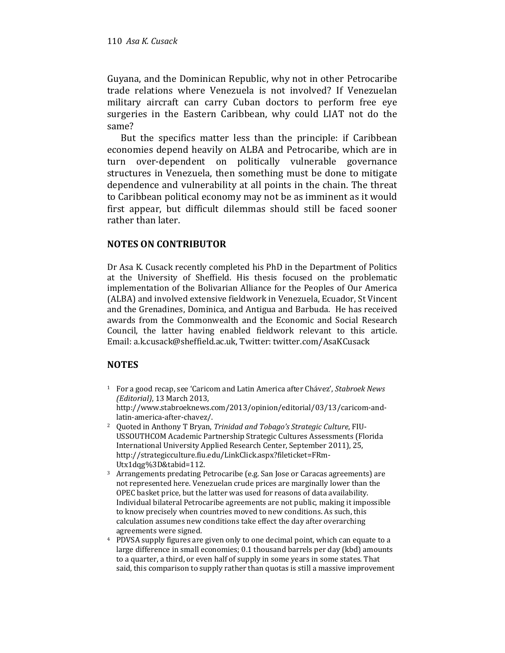Guyana, and the Dominican Republic, why not in other Petrocaribe trade relations where Venezuela is not involved? If Venezuelan military aircraft can carry Cuban doctors to perform free eye surgeries in the Eastern Caribbean, why could LIAT not do the same?

But the specifics matter less than the principle: if Caribbean economies depend heavily on ALBA and Petrocaribe, which are in turn over-dependent on politically vulnerable governance structures in Venezuela, then something must be done to mitigate dependence and vulnerability at all points in the chain. The threat to Caribbean political economy may not be as imminent as it would first appear, but difficult dilemmas should still be faced sooner rather than later.

#### NOTES ON CONTRIBUTOR

Dr Asa K. Cusack recently completed his PhD in the Department of Politics at the University of Sheffield. His thesis focused on the problematic implementation of the Bolivarian Alliance for the Peoples of Our America (ALBA) and involved extensive fieldwork in Venezuela, Ecuador, St Vincent and the Grenadines, Dominica, and Antigua and Barbuda. He has received awards from the Commonwealth and the Economic and Social Research Council, the latter having enabled fieldwork relevant to this article. Email: a.k.cusack@sheffield.ac.uk, Twitter: twitter.com/AsaKCusack

## **NOTES**

- <sup>1</sup> For a good recap, see 'Caricom and Latin America after Chávez', Stabroek News (Editorial), 13 March 2013, http://www.stabroeknews.com/2013/opinion/editorial/03/13/caricom-andlatin-america-after-chavez/.
- <sup>2</sup> Quoted in Anthony T Bryan, Trinidad and Tobago's Strategic Culture, FIU-USSOUTHCOM Academic Partnership Strategic Cultures Assessments (Florida International University Applied Research Center, September 2011), 25, http://strategicculture.fiu.edu/LinkClick.aspx?fileticket=FRm-Utx1dqg%3D&tabid=112.
- <sup>3</sup> Arrangements predating Petrocaribe (e.g. San Jose or Caracas agreements) are not represented here. Venezuelan crude prices are marginally lower than the OPEC basket price, but the latter was used for reasons of data availability. Individual bilateral Petrocaribe agreements are not public, making it impossible to know precisely when countries moved to new conditions. As such, this calculation assumes new conditions take effect the day after overarching agreements were signed.
- <sup>4</sup> PDVSA supply figures are given only to one decimal point, which can equate to a large difference in small economies; 0.1 thousand barrels per day (kbd) amounts to a quarter, a third, or even half of supply in some years in some states. That said, this comparison to supply rather than quotas is still a massive improvement